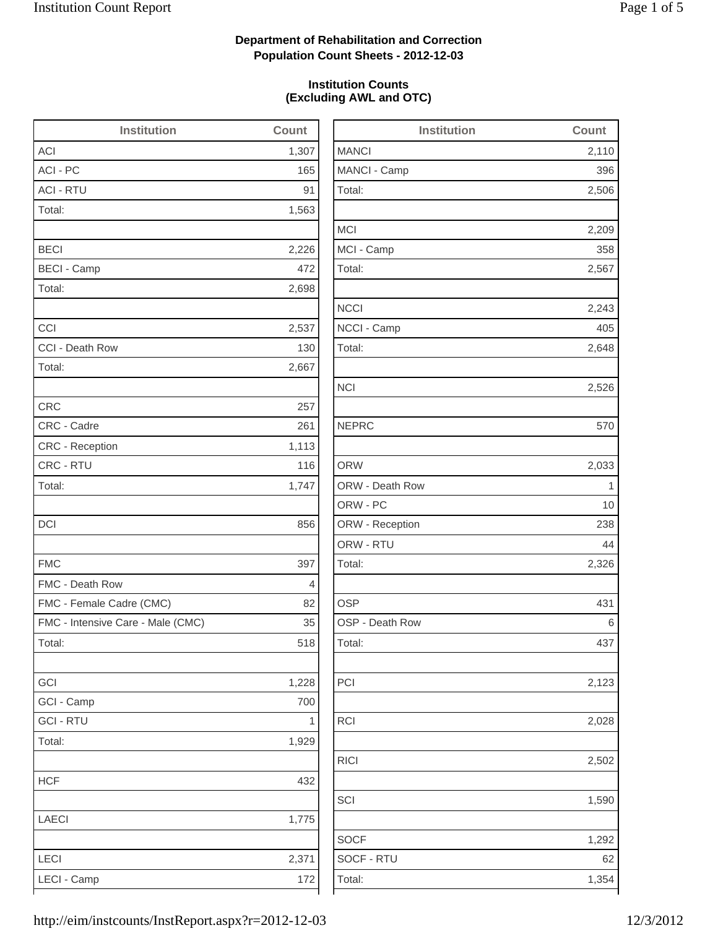2,506

2,209

2,243

2,648

2,526

2,326

2,123

2,028

2,502

1,590

1,292

### **Department of Rehabilitation and Correction Population Count Sheets - 2012-12-03**

### **Institution Counts (Excluding AWL and OTC)**

| <b>Institution</b>                | Count        | <b>Institution</b> | Count       |
|-----------------------------------|--------------|--------------------|-------------|
| <b>ACI</b>                        | 1,307        | <b>MANCI</b>       | 2,110       |
| ACI - PC                          | 165          | MANCI - Camp       | 396         |
| <b>ACI - RTU</b>                  | 91           | Total:             | 2,506       |
| Total:                            | 1,563        |                    |             |
|                                   |              | <b>MCI</b>         | 2,209       |
| <b>BECI</b>                       | 2,226        | MCI - Camp         | 358         |
| <b>BECI - Camp</b>                | 472          | Total:             | 2,567       |
| Total:                            | 2,698        |                    |             |
|                                   |              | <b>NCCI</b>        | 2,243       |
| CCI                               | 2,537        | NCCI - Camp        | 405         |
| CCI - Death Row                   | 130          | Total:             | 2,648       |
| Total:                            | 2,667        |                    |             |
|                                   |              | <b>NCI</b>         | 2,526       |
| <b>CRC</b>                        | 257          |                    |             |
| CRC - Cadre                       | 261          | <b>NEPRC</b>       | 570         |
| <b>CRC</b> - Reception            | 1,113        |                    |             |
| CRC - RTU                         | 116          | <b>ORW</b>         | 2,033       |
| Total:                            | 1,747        | ORW - Death Row    | $\mathbf 1$ |
|                                   |              | ORW - PC           | 10          |
| <b>DCI</b>                        | 856          | ORW - Reception    | 238         |
|                                   |              | ORW - RTU          | 44          |
| <b>FMC</b>                        | 397          | Total:             | 2,326       |
| FMC - Death Row                   | 4            |                    |             |
| FMC - Female Cadre (CMC)          | 82           | <b>OSP</b>         | 431         |
| FMC - Intensive Care - Male (CMC) | 35           | OSP - Death Row    | 6           |
| Total:                            | 518          | Total:             | 437         |
| GCI                               | 1,228        | PCI                | 2,123       |
| GCI - Camp                        | 700          |                    |             |
| <b>GCI - RTU</b>                  | $\mathbf{1}$ | <b>RCI</b>         | 2,028       |
| Total:                            | 1,929        |                    |             |
|                                   |              | <b>RICI</b>        | 2,502       |
| <b>HCF</b>                        | 432          |                    |             |
|                                   |              | SCI                | 1,590       |
| LAECI                             | 1,775        |                    |             |
|                                   |              | <b>SOCF</b>        | 1,292       |
| LECI                              | 2,371        | SOCF - RTU         | 62          |
| LECI - Camp                       | $172\,$      | Total:             | 1,354       |
|                                   |              |                    |             |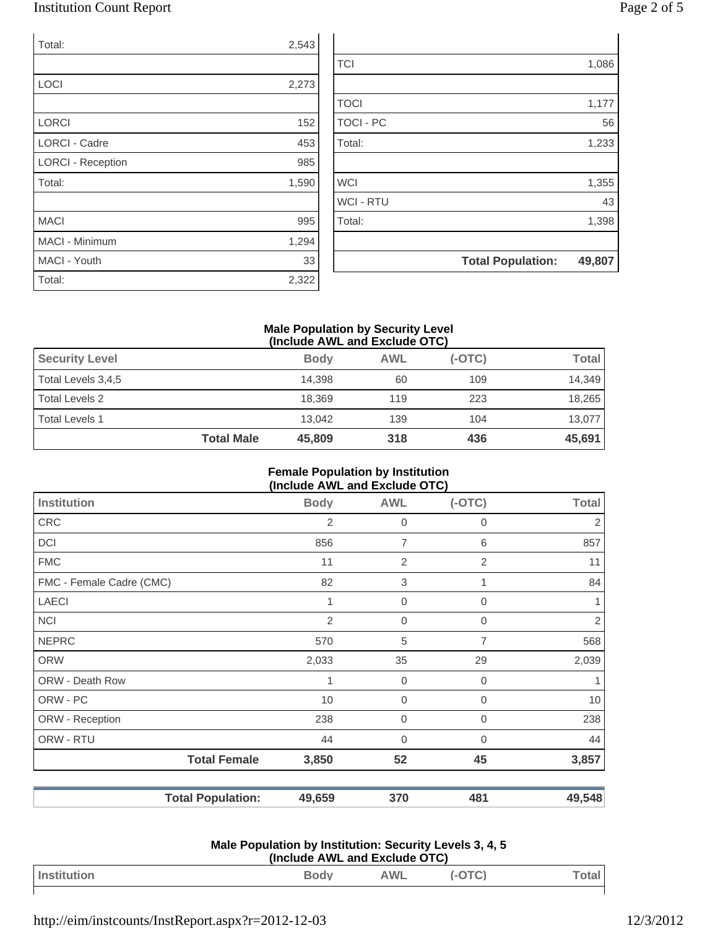### Institution Count Report Page 2 of 5

| Total:                   | 2,543 |
|--------------------------|-------|
|                          |       |
| <b>LOCI</b>              | 2,273 |
|                          |       |
| <b>LORCI</b>             | 152   |
| <b>LORCI - Cadre</b>     | 453   |
| <b>LORCI - Reception</b> | 985   |
| Total:                   | 1,590 |
|                          |       |
| <b>MACI</b>              | 995   |
| <b>MACI - Minimum</b>    | 1,294 |
| MACI - Youth             | 33    |
| Total:                   | 2,322 |

|                  | <b>Total Population:</b> | 49,807 |
|------------------|--------------------------|--------|
|                  |                          |        |
| Total:           |                          | 1,398  |
| <b>WCI - RTU</b> |                          | 43     |
| <b>WCI</b>       |                          | 1,355  |
|                  |                          |        |
| Total:           |                          | 1,233  |
| <b>TOCI - PC</b> |                          | 56     |
| <b>TOCI</b>      |                          | 1,177  |
|                  |                          |        |
| <b>TCI</b>       |                          | 1,086  |
|                  |                          |        |

#### **Male Population by Security Level (Include AWL and Exclude OTC)**

| <b>Security Level</b> |                   | <b>Body</b> | <b>AWL</b> | $(-OTC)$ | <b>Total</b> |
|-----------------------|-------------------|-------------|------------|----------|--------------|
| Total Levels 3,4,5    |                   | 14.398      | 60         | 109      | 14,349       |
| Total Levels 2        |                   | 18.369      | 119        | 223      | 18,265       |
| Total Levels 1        |                   | 13.042      | 139        | 104      | 13,077       |
|                       | <b>Total Male</b> | 45,809      | 318        | 436      | 45,691       |

#### **Female Population by Institution (Include AWL and Exclude OTC)**

| Institution              | <b>Body</b>    | <b>AWL</b>       | $(-OTC)$       | <b>Total</b>   |
|--------------------------|----------------|------------------|----------------|----------------|
| <b>CRC</b>               | $\overline{2}$ | $\mathbf 0$      | 0              | $\overline{2}$ |
| DCI                      | 856            | $\overline{7}$   | 6              | 857            |
| <b>FMC</b>               | 11             | $\overline{2}$   | $\overline{2}$ | 11             |
| FMC - Female Cadre (CMC) | 82             | $\sqrt{3}$       |                | 84             |
| <b>LAECI</b>             | 1              | $\mathbf 0$      | $\mathbf 0$    |                |
| <b>NCI</b>               | 2              | $\overline{0}$   | $\overline{0}$ | $\overline{2}$ |
| <b>NEPRC</b>             | 570            | 5                | 7              | 568            |
| <b>ORW</b>               | 2,033          | 35               | 29             | 2,039          |
| ORW - Death Row          | 1              | $\boldsymbol{0}$ | $\mathbf 0$    |                |
| ORW - PC                 | 10             | $\mathbf 0$      | 0              | 10             |
| ORW - Reception          | 238            | $\mathbf{0}$     | $\mathbf 0$    | 238            |
| ORW - RTU                | 44             | $\Omega$         | $\Omega$       | 44             |
| <b>Total Female</b>      | 3,850          | 52               | 45             | 3,857          |
| <b>Total Population:</b> | 49,659         | 370              | 481            | 49,548         |

#### **Male Population by Institution: Security Levels 3, 4, 5 (Include AWL and Exclude OTC)**

| Inc<br>---- | <u>Lou</u> | <b>MIL</b><br>$\sim$ vv $\sim$ |  |
|-------------|------------|--------------------------------|--|
|             |            |                                |  |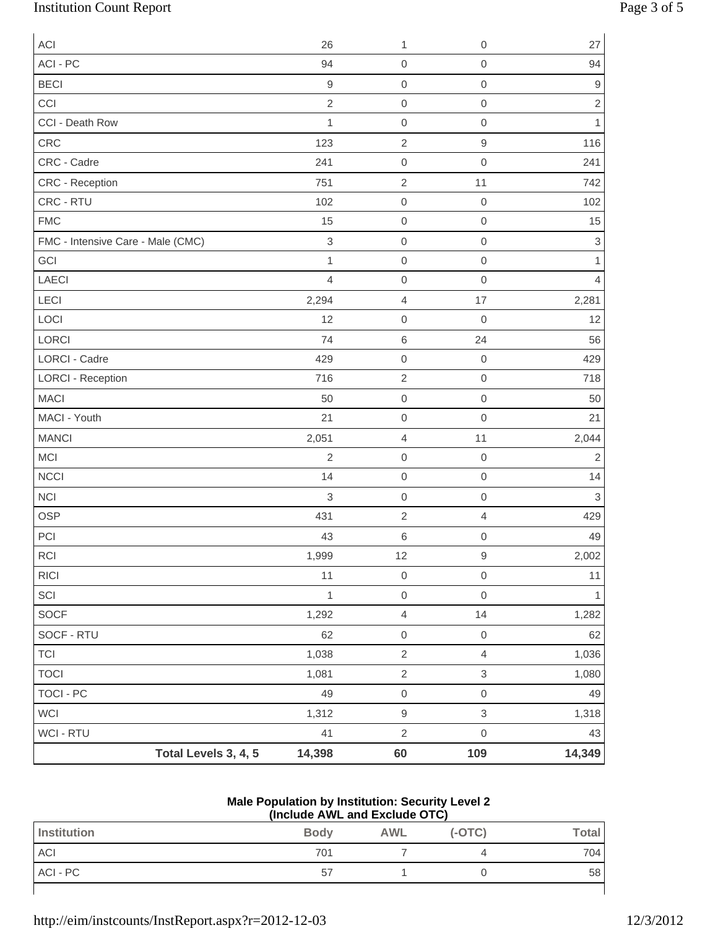# Institution Count Report Page 3 of 5

| ACI                               |                      | 26             | 1                   | $\mathbf 0$      | 27                        |
|-----------------------------------|----------------------|----------------|---------------------|------------------|---------------------------|
| ACI - PC                          |                      | 94             | $\boldsymbol{0}$    | $\mbox{O}$       | 94                        |
| <b>BECI</b>                       |                      | $\hbox{9}$     | $\mathbf 0$         | $\mathbf 0$      | $\hbox{9}$                |
| CCI                               |                      | $\sqrt{2}$     | $\boldsymbol{0}$    | $\mathbf 0$      | $\overline{c}$            |
| CCI - Death Row                   |                      | $\mathbf{1}$   | $\boldsymbol{0}$    | $\mathbf 0$      | $\mathbf{1}$              |
| CRC                               |                      | 123            | $\sqrt{2}$          | $\hbox{9}$       | 116                       |
| CRC - Cadre                       |                      | 241            | $\mathbf 0$         | $\mathbf 0$      | 241                       |
| CRC - Reception                   |                      | 751            | $\sqrt{2}$          | 11               | 742                       |
| CRC - RTU                         |                      | 102            | $\boldsymbol{0}$    | $\boldsymbol{0}$ | 102                       |
| <b>FMC</b>                        |                      | 15             | $\mbox{O}$          | $\mathbf 0$      | 15                        |
| FMC - Intensive Care - Male (CMC) |                      | $\mathsf 3$    | $\boldsymbol{0}$    | $\mathbf 0$      | $\ensuremath{\mathsf{3}}$ |
| GCI                               |                      | $\mathbf{1}$   | $\mathbf 0$         | $\mathbf 0$      | 1                         |
| LAECI                             |                      | $\overline{4}$ | $\mbox{O}$          | $\mathbf 0$      | 4                         |
| LECI                              |                      | 2,294          | $\overline{4}$      | 17               | 2,281                     |
| LOCI                              |                      | 12             | $\boldsymbol{0}$    | $\boldsymbol{0}$ | 12                        |
| <b>LORCI</b>                      |                      | 74             | $\,6$               | 24               | 56                        |
| <b>LORCI - Cadre</b>              |                      | 429            | $\mathsf{O}\xspace$ | $\mathbf 0$      | 429                       |
| <b>LORCI - Reception</b>          |                      | 716            | $\sqrt{2}$          | $\mathbf 0$      | 718                       |
| <b>MACI</b>                       |                      | 50             | $\mathbf 0$         | $\mathbf 0$      | 50                        |
| MACI - Youth                      |                      | 21             | $\mbox{O}$          | $\mathbf 0$      | 21                        |
| <b>MANCI</b>                      |                      | 2,051          | $\sqrt{4}$          | 11               | 2,044                     |
| <b>MCI</b>                        |                      | $\overline{2}$ | $\mathbf 0$         | $\mathbf 0$      | $\overline{c}$            |
| NCCI                              |                      | 14             | $\mbox{O}$          | $\mathbf 0$      | 14                        |
| <b>NCI</b>                        |                      | 3              | $\mathbf 0$         | $\mathbf 0$      | $\mathbf{3}$              |
| <b>OSP</b>                        |                      | 431            | $\sqrt{2}$          | 4                | 429                       |
| PCI                               |                      | 43             | 6                   | $\mathbf 0$      | 49                        |
| RCI                               |                      | 1,999          | 12                  | $\hbox{9}$       | 2,002                     |
| <b>RICI</b>                       |                      | 11             | $\mathbf 0$         | $\,0\,$          | 11                        |
| SCI                               |                      | 1              | $\mathsf{O}\xspace$ | $\mathbf 0$      | $\overline{1}$            |
| SOCF                              |                      | 1,292          | $\overline{4}$      | $14$             | 1,282                     |
| SOCF - RTU                        |                      | 62             | $\mathbf 0$         | $\,0\,$          | 62                        |
| <b>TCI</b>                        |                      | 1,038          | $\sqrt{2}$          | $\overline{4}$   | 1,036                     |
| <b>TOCI</b>                       |                      | 1,081          | $\sqrt{2}$          | $\mathfrak{S}$   | 1,080                     |
| TOCI - PC                         |                      | 49             | $\mathsf{O}\xspace$ | $\mathbf 0$      | 49                        |
| WCI                               |                      | 1,312          | $\boldsymbol{9}$    | $\,3$            | 1,318                     |
| WCI - RTU                         |                      | 41             | $\sqrt{2}$          | $\mathbf 0$      | 43                        |
|                                   | Total Levels 3, 4, 5 | 14,398         | 60                  | 109              | 14,349                    |

#### **Male Population by Institution: Security Level 2 (Include AWL and Exclude OTC)**

| $\frac{1}{2}$ |             |     |          |              |
|---------------|-------------|-----|----------|--------------|
| Institution   | <b>Body</b> | AWL | $(-OTC)$ | <b>Total</b> |
| <b>ACI</b>    | 701         |     |          | 704          |
| ACI - PC      | 57          |     |          | 58           |
|               |             |     |          |              |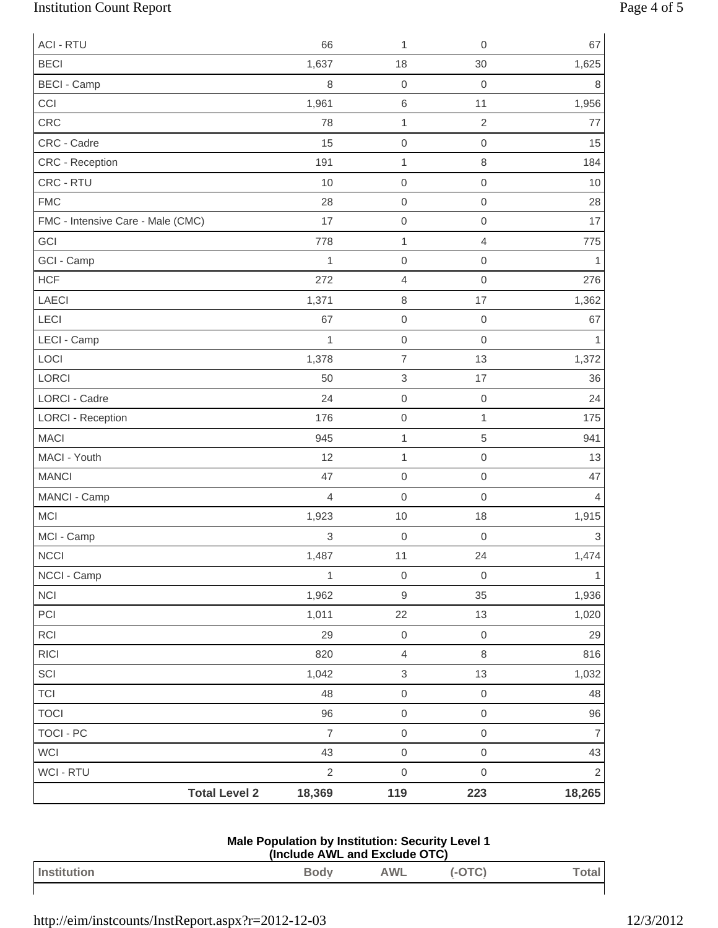# Institution Count Report Page 4 of 5

| <b>ACI - RTU</b>                  | 66             | 1                   | $\boldsymbol{0}$    | 67                        |
|-----------------------------------|----------------|---------------------|---------------------|---------------------------|
| <b>BECI</b>                       | 1,637          | 18                  | 30                  | 1,625                     |
| <b>BECI - Camp</b>                | 8              | $\mathbf 0$         | $\mathbf 0$         | 8                         |
| CCI                               | 1,961          | $\,6$               | 11                  | 1,956                     |
| CRC                               | 78             | $\mathbf{1}$        | $\overline{2}$      | 77                        |
| CRC - Cadre                       | 15             | $\mbox{O}$          | $\mathbf 0$         | 15                        |
| CRC - Reception                   | 191            | $\mathbf{1}$        | $\,8\,$             | 184                       |
| CRC - RTU                         | 10             | $\mathbf 0$         | $\mathbf 0$         | 10                        |
| <b>FMC</b>                        | 28             | $\mathbf 0$         | $\mathbf 0$         | 28                        |
| FMC - Intensive Care - Male (CMC) | 17             | $\mbox{O}$          | $\mathbf 0$         | 17                        |
| GCI                               | 778            | $\mathbf{1}$        | $\overline{4}$      | 775                       |
| GCI - Camp                        | $\mathbf{1}$   | $\mathbf 0$         | $\mathbf 0$         | 1                         |
| <b>HCF</b>                        | 272            | $\sqrt{4}$          | $\mathbf 0$         | 276                       |
| LAECI                             | 1,371          | $\,8\,$             | 17                  | 1,362                     |
| LECI                              | 67             | $\mbox{O}$          | $\mathbf 0$         | 67                        |
| LECI - Camp                       | $\mathbf{1}$   | $\mbox{O}$          | $\mathbf 0$         | 1                         |
| LOCI                              | 1,378          | $\overline{7}$      | 13                  | 1,372                     |
| LORCI                             | 50             | $\,$ 3 $\,$         | 17                  | 36                        |
| <b>LORCI - Cadre</b>              | 24             | $\mathbf 0$         | $\,0\,$             | 24                        |
| <b>LORCI - Reception</b>          | 176            | $\mathbf 0$         | $\mathbf{1}$        | 175                       |
| <b>MACI</b>                       | 945            | $\mathbf{1}$        | 5                   | 941                       |
| MACI - Youth                      | 12             | $\mathbf{1}$        | $\mathbf 0$         | 13                        |
| <b>MANCI</b>                      | 47             | $\mbox{O}$          | $\mbox{O}$          | 47                        |
| MANCI - Camp                      | $\overline{4}$ | $\mathbf 0$         | $\mathbf 0$         | $\overline{4}$            |
| <b>MCI</b>                        | 1,923          | 10                  | 18                  | 1,915                     |
| MCI - Camp                        | 3              | $\mbox{O}$          | $\mathbf 0$         | $\ensuremath{\mathsf{3}}$ |
| <b>NCCI</b>                       | 1,487          | 11                  | 24                  | 1,474                     |
| NCCI - Camp                       | $\mathbf{1}$   | $\mathbf 0$         | $\mathbf 0$         | $\mathbf{1}$              |
| <b>NCI</b>                        | 1,962          | $\hbox{9}$          | 35                  | 1,936                     |
| PCI                               | 1,011          | 22                  | 13                  | 1,020                     |
| RCI                               | 29             | $\mathsf{O}\xspace$ | $\mathsf{O}\xspace$ | 29                        |
| <b>RICI</b>                       | 820            | $\overline{4}$      | $\,8\,$             | 816                       |
| SCI                               | 1,042          | $\,$ 3 $\,$         | 13                  | 1,032                     |
| <b>TCI</b>                        | 48             | $\mathsf{O}\xspace$ | $\mathsf{O}\xspace$ | 48                        |
| <b>TOCI</b>                       | 96             | $\mathsf{O}\xspace$ | $\,0\,$             | 96                        |
| <b>TOCI - PC</b>                  | $\overline{7}$ | $\mathsf{O}\xspace$ | $\mathsf{O}\xspace$ | $\overline{7}$            |
| WCI                               | 43             | $\mathsf{O}\xspace$ | $\mathsf{O}\xspace$ | 43                        |
| WCI - RTU                         | $\overline{2}$ | $\mathbf 0$         | $\mathsf{O}\xspace$ | $\overline{2}$            |
| <b>Total Level 2</b>              | 18,369         | 119                 | 223                 | 18,265                    |

| <b>Male Population by Institution: Security Level 1</b> |  |
|---------------------------------------------------------|--|
| (Include AWL and Exclude OTC)                           |  |

| Institution | Body<br>- | <b>AWL</b> | 1 V J | otal |
|-------------|-----------|------------|-------|------|
|             |           |            |       |      |